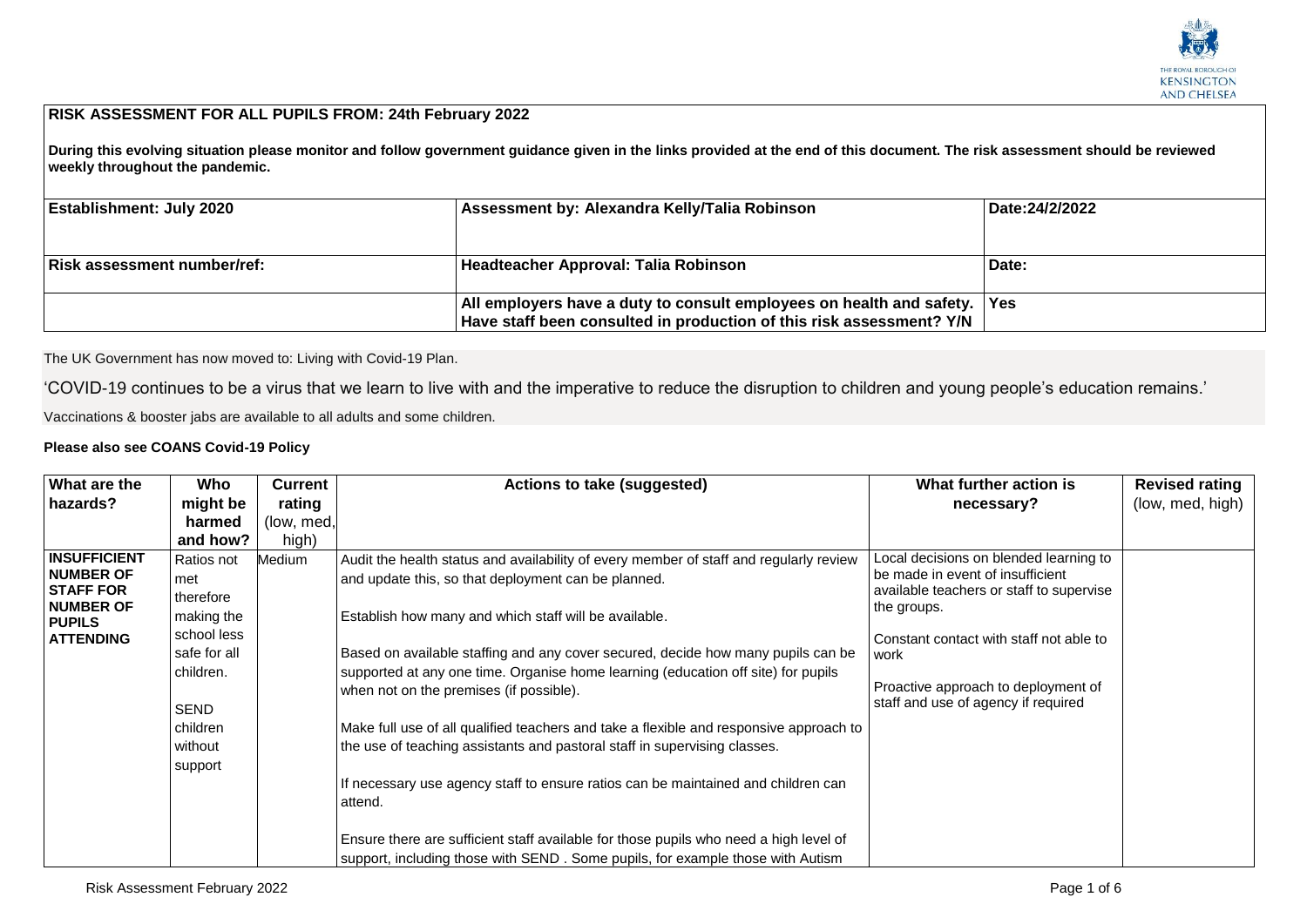

## **RISK ASSESSMENT FOR ALL PUPILS FROM: 24th February 2022**

**During this evolving situation please monitor and follow government guidance given in the links provided at the end of this document. The risk assessment should be reviewed weekly throughout the pandemic.**

| <b>Establishment: July 2020</b>    | Assessment by: Alexandra Kelly/Talia Robinson                                                                                                                    | Date:24/2/2022 |
|------------------------------------|------------------------------------------------------------------------------------------------------------------------------------------------------------------|----------------|
| <b>Risk assessment number/ref:</b> | Headteacher Approval: Talia Robinson                                                                                                                             | Date:          |
|                                    | $\vert$ All employers have a duty to consult employees on health and safety. $\vert$ Yes<br>Have staff been consulted in production of this risk assessment? Y/N |                |

The UK Government has now moved to: Living with Covid-19 Plan.

'COVID-19 continues to be a virus that we learn to live with and the imperative to reduce the disruption to children and young people's education remains.'

Vaccinations & booster jabs are available to all adults and some children.

## **Please also see COANS Covid-19 Policy**

| What are the                         | Who          | <b>Current</b> | Actions to take (suggested)                                                            | What further action is                   | <b>Revised rating</b> |
|--------------------------------------|--------------|----------------|----------------------------------------------------------------------------------------|------------------------------------------|-----------------------|
| hazards?                             | might be     | rating         |                                                                                        | necessary?                               | (low, med, high)      |
|                                      | harmed       | (low, med,     |                                                                                        |                                          |                       |
|                                      | and how?     | high)          |                                                                                        |                                          |                       |
| <b>INSUFFICIENT</b>                  | Ratios not   | Medium         | Audit the health status and availability of every member of staff and regularly review | Local decisions on blended learning to   |                       |
| <b>NUMBER OF</b>                     | met          |                | and update this, so that deployment can be planned.                                    | be made in event of insufficient         |                       |
| <b>STAFF FOR</b><br><b>NUMBER OF</b> | therefore    |                |                                                                                        | available teachers or staff to supervise |                       |
| <b>PUPILS</b>                        | making the   |                | Establish how many and which staff will be available.                                  | the groups.                              |                       |
| <b>ATTENDING</b>                     | school less  |                |                                                                                        | Constant contact with staff not able to  |                       |
|                                      | safe for all |                | Based on available staffing and any cover secured, decide how many pupils can be       | work                                     |                       |
|                                      | children.    |                | supported at any one time. Organise home learning (education off site) for pupils      |                                          |                       |
|                                      |              |                | when not on the premises (if possible).                                                | Proactive approach to deployment of      |                       |
|                                      | <b>SEND</b>  |                |                                                                                        | staff and use of agency if required      |                       |
|                                      | children     |                | Make full use of all qualified teachers and take a flexible and responsive approach to |                                          |                       |
|                                      | without      |                | the use of teaching assistants and pastoral staff in supervising classes.              |                                          |                       |
|                                      | support      |                |                                                                                        |                                          |                       |
|                                      |              |                | If necessary use agency staff to ensure ratios can be maintained and children can      |                                          |                       |
|                                      |              |                | attend.                                                                                |                                          |                       |
|                                      |              |                |                                                                                        |                                          |                       |
|                                      |              |                | Ensure there are sufficient staff available for those pupils who need a high level of  |                                          |                       |
|                                      |              |                | support, including those with SEND. Some pupils, for example those with Autism         |                                          |                       |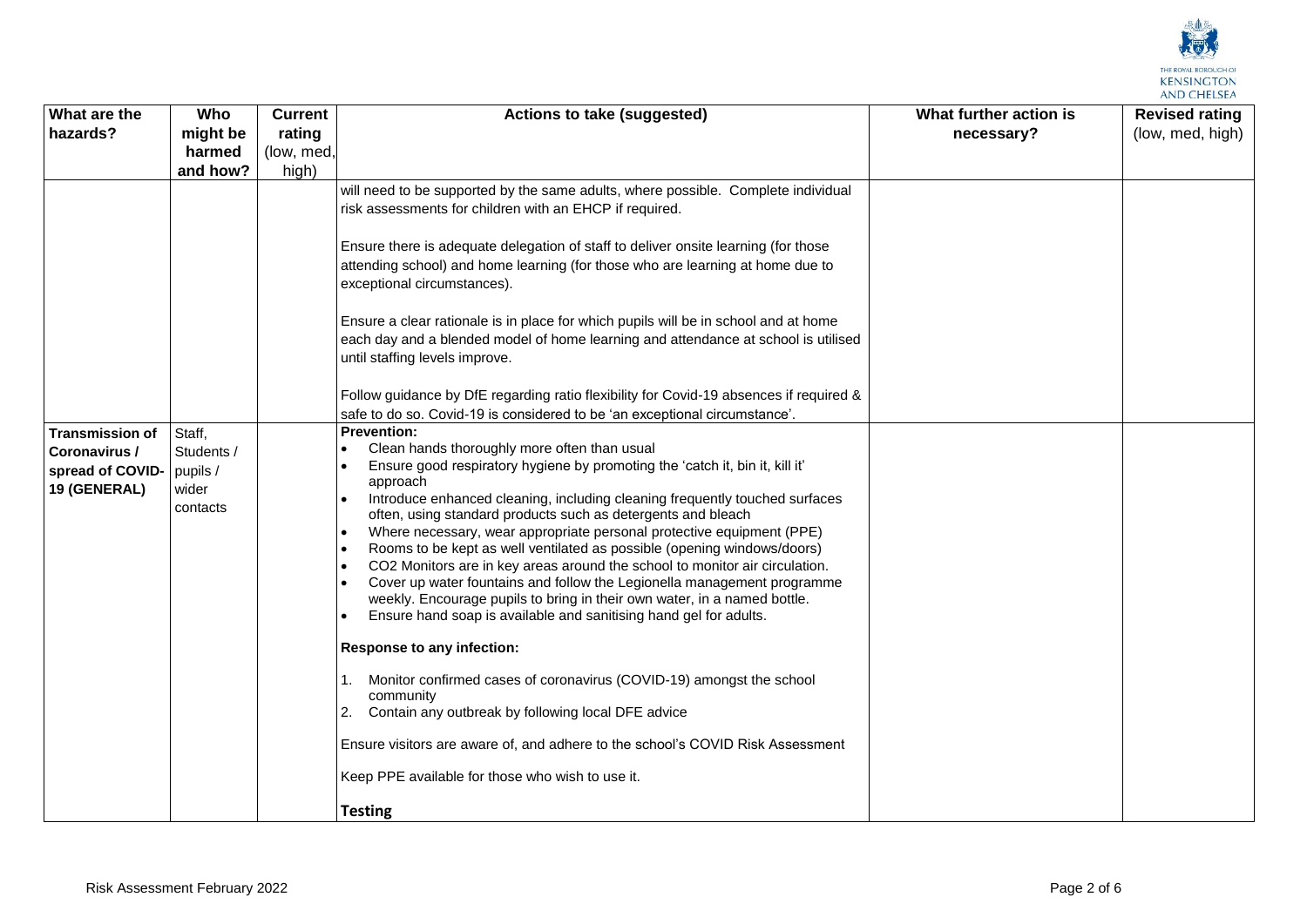

| What are the              | Who        | <b>Current</b> | <b>Actions to take (suggested)</b>                                                                                                                       | What further action is | <b>Revised rating</b> |
|---------------------------|------------|----------------|----------------------------------------------------------------------------------------------------------------------------------------------------------|------------------------|-----------------------|
| hazards?                  | might be   | rating         |                                                                                                                                                          | necessary?             | (low, med, high)      |
|                           | harmed     | (low, med,     |                                                                                                                                                          |                        |                       |
|                           | and how?   | high)          |                                                                                                                                                          |                        |                       |
|                           |            |                | will need to be supported by the same adults, where possible. Complete individual                                                                        |                        |                       |
|                           |            |                | risk assessments for children with an EHCP if required.                                                                                                  |                        |                       |
|                           |            |                |                                                                                                                                                          |                        |                       |
|                           |            |                | Ensure there is adequate delegation of staff to deliver onsite learning (for those                                                                       |                        |                       |
|                           |            |                | attending school) and home learning (for those who are learning at home due to                                                                           |                        |                       |
|                           |            |                | exceptional circumstances).                                                                                                                              |                        |                       |
|                           |            |                |                                                                                                                                                          |                        |                       |
|                           |            |                | Ensure a clear rationale is in place for which pupils will be in school and at home                                                                      |                        |                       |
|                           |            |                | each day and a blended model of home learning and attendance at school is utilised<br>until staffing levels improve.                                     |                        |                       |
|                           |            |                |                                                                                                                                                          |                        |                       |
|                           |            |                | Follow guidance by DfE regarding ratio flexibility for Covid-19 absences if required &                                                                   |                        |                       |
|                           |            |                | safe to do so. Covid-19 is considered to be 'an exceptional circumstance'.                                                                               |                        |                       |
| <b>Transmission of</b>    | Staff,     |                | <b>Prevention:</b>                                                                                                                                       |                        |                       |
| Coronavirus /             | Students / |                | Clean hands thoroughly more often than usual                                                                                                             |                        |                       |
| spread of COVID- pupils / |            |                | Ensure good respiratory hygiene by promoting the 'catch it, bin it, kill it'                                                                             |                        |                       |
| 19 (GENERAL)              | wider      |                | approach                                                                                                                                                 |                        |                       |
|                           | contacts   |                | Introduce enhanced cleaning, including cleaning frequently touched surfaces<br>$\bullet$<br>often, using standard products such as detergents and bleach |                        |                       |
|                           |            |                | Where necessary, wear appropriate personal protective equipment (PPE)<br>$\bullet$                                                                       |                        |                       |
|                           |            |                | Rooms to be kept as well ventilated as possible (opening windows/doors)<br>$\bullet$                                                                     |                        |                       |
|                           |            |                | CO2 Monitors are in key areas around the school to monitor air circulation.<br>$\bullet$                                                                 |                        |                       |
|                           |            |                | Cover up water fountains and follow the Legionella management programme                                                                                  |                        |                       |
|                           |            |                | weekly. Encourage pupils to bring in their own water, in a named bottle.                                                                                 |                        |                       |
|                           |            |                | Ensure hand soap is available and sanitising hand gel for adults.                                                                                        |                        |                       |
|                           |            |                | <b>Response to any infection:</b>                                                                                                                        |                        |                       |
|                           |            |                |                                                                                                                                                          |                        |                       |
|                           |            |                | Monitor confirmed cases of coronavirus (COVID-19) amongst the school<br>community                                                                        |                        |                       |
|                           |            |                | Contain any outbreak by following local DFE advice<br>2.                                                                                                 |                        |                       |
|                           |            |                |                                                                                                                                                          |                        |                       |
|                           |            |                | Ensure visitors are aware of, and adhere to the school's COVID Risk Assessment                                                                           |                        |                       |
|                           |            |                | Keep PPE available for those who wish to use it.                                                                                                         |                        |                       |
|                           |            |                | <b>Testing</b>                                                                                                                                           |                        |                       |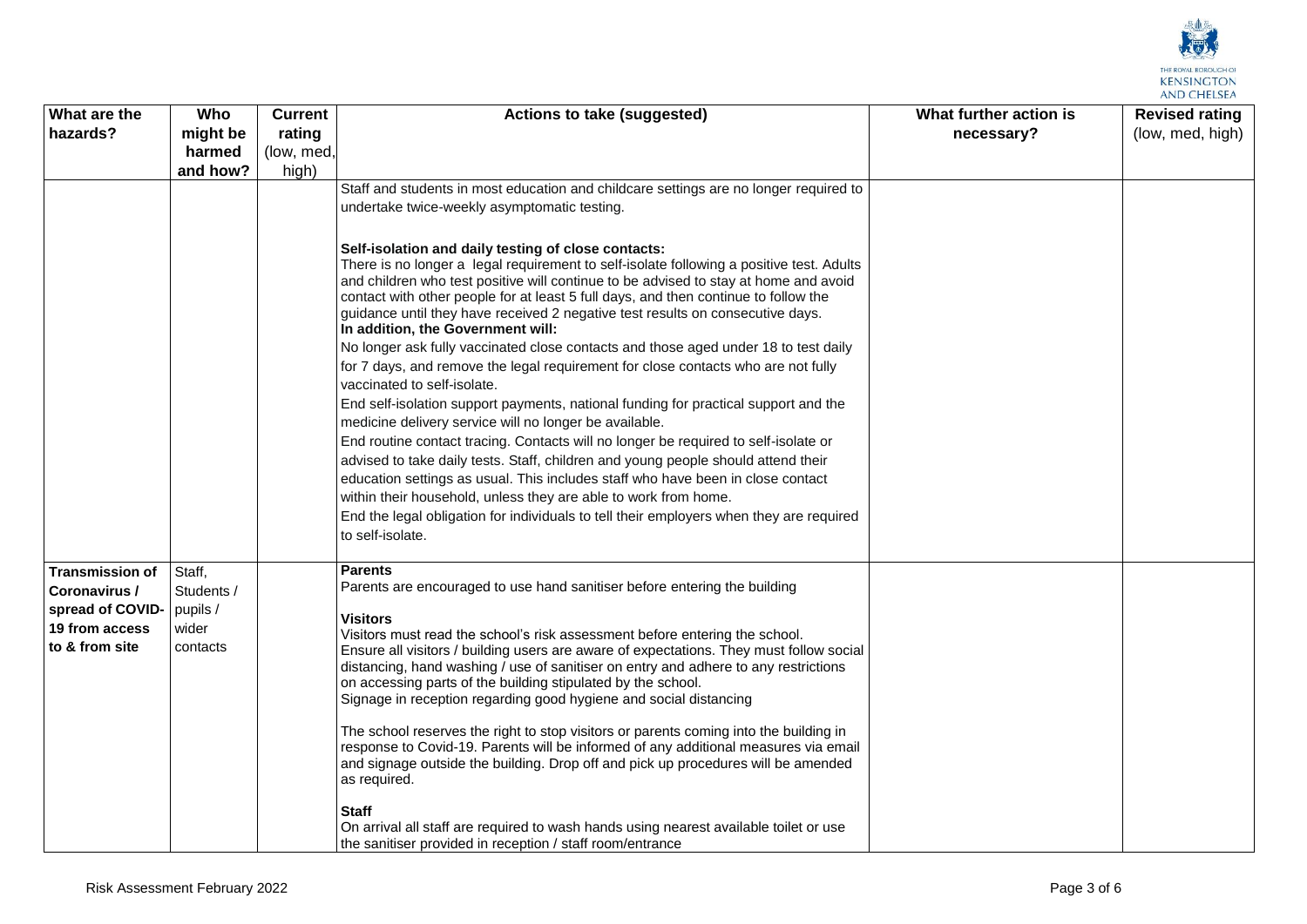

| What are the           | Who        | <b>Current</b> | <b>Actions to take (suggested)</b>                                                                                                                                          | What further action is | <b>Revised rating</b> |
|------------------------|------------|----------------|-----------------------------------------------------------------------------------------------------------------------------------------------------------------------------|------------------------|-----------------------|
| hazards?               | might be   | rating         |                                                                                                                                                                             | necessary?             | (low, med, high)      |
|                        | harmed     | (low, med,     |                                                                                                                                                                             |                        |                       |
|                        | and how?   | high)          |                                                                                                                                                                             |                        |                       |
|                        |            |                | Staff and students in most education and childcare settings are no longer required to                                                                                       |                        |                       |
|                        |            |                | undertake twice-weekly asymptomatic testing.                                                                                                                                |                        |                       |
|                        |            |                |                                                                                                                                                                             |                        |                       |
|                        |            |                | Self-isolation and daily testing of close contacts:                                                                                                                         |                        |                       |
|                        |            |                | There is no longer a legal requirement to self-isolate following a positive test. Adults                                                                                    |                        |                       |
|                        |            |                | and children who test positive will continue to be advised to stay at home and avoid<br>contact with other people for at least 5 full days, and then continue to follow the |                        |                       |
|                        |            |                | guidance until they have received 2 negative test results on consecutive days.                                                                                              |                        |                       |
|                        |            |                | In addition, the Government will:                                                                                                                                           |                        |                       |
|                        |            |                | No longer ask fully vaccinated close contacts and those aged under 18 to test daily                                                                                         |                        |                       |
|                        |            |                | for 7 days, and remove the legal requirement for close contacts who are not fully                                                                                           |                        |                       |
|                        |            |                | vaccinated to self-isolate.                                                                                                                                                 |                        |                       |
|                        |            |                | End self-isolation support payments, national funding for practical support and the                                                                                         |                        |                       |
|                        |            |                | medicine delivery service will no longer be available.                                                                                                                      |                        |                       |
|                        |            |                | End routine contact tracing. Contacts will no longer be required to self-isolate or                                                                                         |                        |                       |
|                        |            |                | advised to take daily tests. Staff, children and young people should attend their                                                                                           |                        |                       |
|                        |            |                | education settings as usual. This includes staff who have been in close contact                                                                                             |                        |                       |
|                        |            |                | within their household, unless they are able to work from home.                                                                                                             |                        |                       |
|                        |            |                | End the legal obligation for individuals to tell their employers when they are required                                                                                     |                        |                       |
|                        |            |                | to self-isolate.                                                                                                                                                            |                        |                       |
| <b>Transmission of</b> | Staff,     |                | Parents                                                                                                                                                                     |                        |                       |
| Coronavirus /          | Students / |                | Parents are encouraged to use hand sanitiser before entering the building                                                                                                   |                        |                       |
| spread of COVID-       | pupils /   |                |                                                                                                                                                                             |                        |                       |
| 19 from access         | wider      |                | Visitors                                                                                                                                                                    |                        |                       |
| to & from site         | contacts   |                | Visitors must read the school's risk assessment before entering the school.<br>Ensure all visitors / building users are aware of expectations. They must follow social      |                        |                       |
|                        |            |                | distancing, hand washing / use of sanitiser on entry and adhere to any restrictions                                                                                         |                        |                       |
|                        |            |                | on accessing parts of the building stipulated by the school.                                                                                                                |                        |                       |
|                        |            |                | Signage in reception regarding good hygiene and social distancing                                                                                                           |                        |                       |
|                        |            |                | The school reserves the right to stop visitors or parents coming into the building in                                                                                       |                        |                       |
|                        |            |                | response to Covid-19. Parents will be informed of any additional measures via email                                                                                         |                        |                       |
|                        |            |                | and signage outside the building. Drop off and pick up procedures will be amended                                                                                           |                        |                       |
|                        |            |                | as required.                                                                                                                                                                |                        |                       |
|                        |            |                | <b>Staff</b>                                                                                                                                                                |                        |                       |
|                        |            |                | On arrival all staff are required to wash hands using nearest available toilet or use                                                                                       |                        |                       |
|                        |            |                | the sanitiser provided in reception / staff room/entrance                                                                                                                   |                        |                       |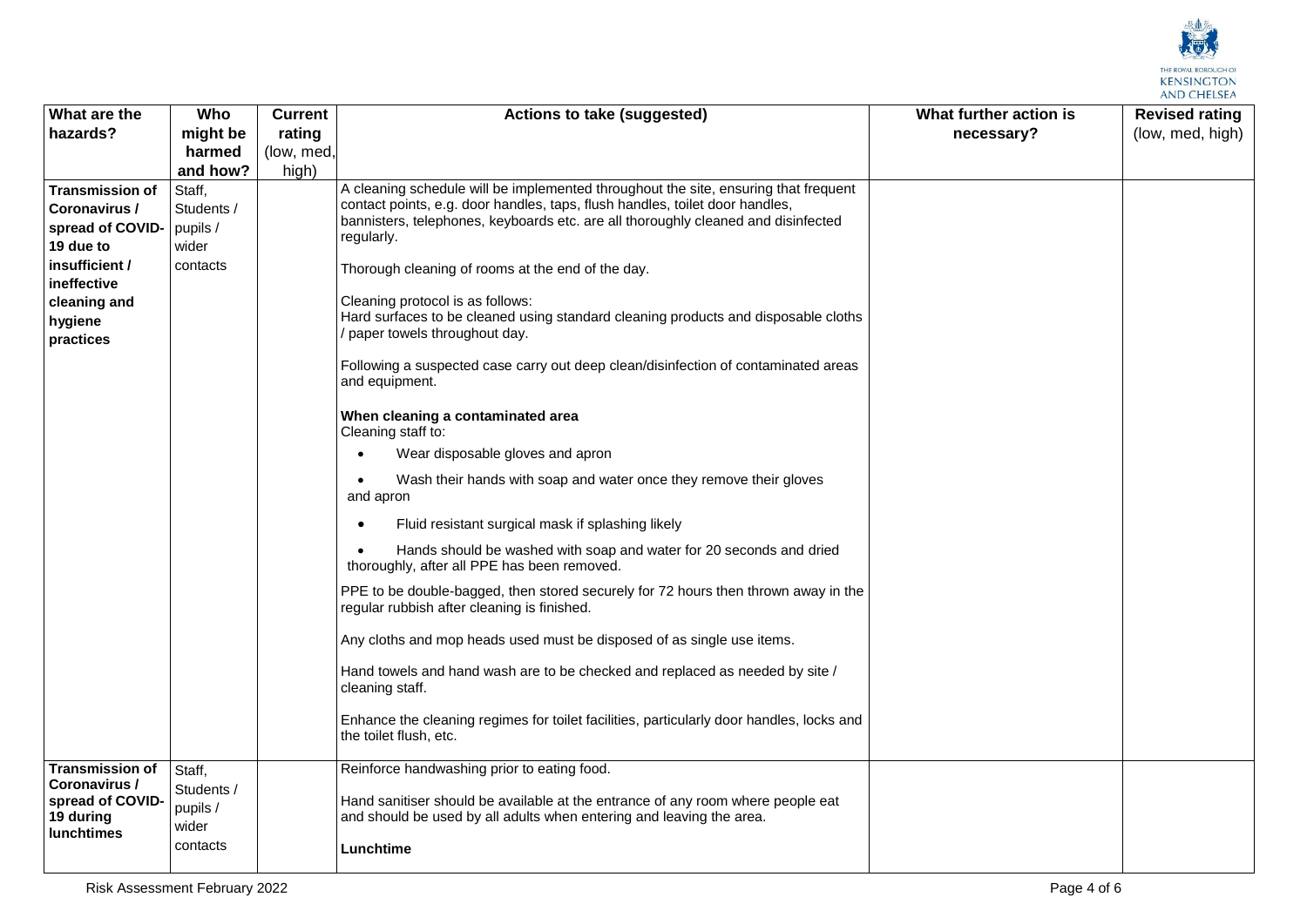

| What are the                                                        | Who                             | <b>Current</b> | Actions to take (suggested)                                                                                                                             | What further action is | <b>Revised rating</b> |
|---------------------------------------------------------------------|---------------------------------|----------------|---------------------------------------------------------------------------------------------------------------------------------------------------------|------------------------|-----------------------|
| hazards?                                                            | might be                        | rating         |                                                                                                                                                         | necessary?             | (low, med, high)      |
|                                                                     | harmed                          | (low, med,     |                                                                                                                                                         |                        |                       |
|                                                                     | and how?                        | high)          |                                                                                                                                                         |                        |                       |
| <b>Transmission of</b>                                              | Staff,                          |                | A cleaning schedule will be implemented throughout the site, ensuring that frequent                                                                     |                        |                       |
| Coronavirus /                                                       | Students /                      |                | contact points, e.g. door handles, taps, flush handles, toilet door handles,                                                                            |                        |                       |
| spread of COVID-                                                    | pupils /                        |                | bannisters, telephones, keyboards etc. are all thoroughly cleaned and disinfected                                                                       |                        |                       |
| 19 due to                                                           | wider                           |                | regularly.                                                                                                                                              |                        |                       |
| insufficient/<br>ineffective                                        | contacts                        |                | Thorough cleaning of rooms at the end of the day.                                                                                                       |                        |                       |
| cleaning and                                                        |                                 |                | Cleaning protocol is as follows:                                                                                                                        |                        |                       |
| hygiene<br>practices                                                |                                 |                | Hard surfaces to be cleaned using standard cleaning products and disposable cloths<br>paper towels throughout day.                                      |                        |                       |
|                                                                     |                                 |                | Following a suspected case carry out deep clean/disinfection of contaminated areas<br>and equipment.                                                    |                        |                       |
|                                                                     |                                 |                | When cleaning a contaminated area<br>Cleaning staff to:                                                                                                 |                        |                       |
|                                                                     |                                 |                | Wear disposable gloves and apron                                                                                                                        |                        |                       |
|                                                                     |                                 |                | Wash their hands with soap and water once they remove their gloves<br>and apron                                                                         |                        |                       |
|                                                                     |                                 |                | Fluid resistant surgical mask if splashing likely                                                                                                       |                        |                       |
|                                                                     |                                 |                | Hands should be washed with soap and water for 20 seconds and dried<br>thoroughly, after all PPE has been removed.                                      |                        |                       |
|                                                                     |                                 |                | PPE to be double-bagged, then stored securely for 72 hours then thrown away in the<br>regular rubbish after cleaning is finished.                       |                        |                       |
|                                                                     |                                 |                | Any cloths and mop heads used must be disposed of as single use items.                                                                                  |                        |                       |
|                                                                     |                                 |                | Hand towels and hand wash are to be checked and replaced as needed by site /<br>cleaning staff.                                                         |                        |                       |
|                                                                     |                                 |                | Enhance the cleaning regimes for toilet facilities, particularly door handles, locks and<br>the toilet flush, etc.                                      |                        |                       |
| <b>Transmission of</b>                                              | Staff,                          |                | Reinforce handwashing prior to eating food.                                                                                                             |                        |                       |
| Coronavirus /<br>spread of COVID-<br>19 during<br><b>lunchtimes</b> | Students /<br>pupils /<br>wider |                | Hand sanitiser should be available at the entrance of any room where people eat<br>and should be used by all adults when entering and leaving the area. |                        |                       |
|                                                                     | contacts                        |                | Lunchtime                                                                                                                                               |                        |                       |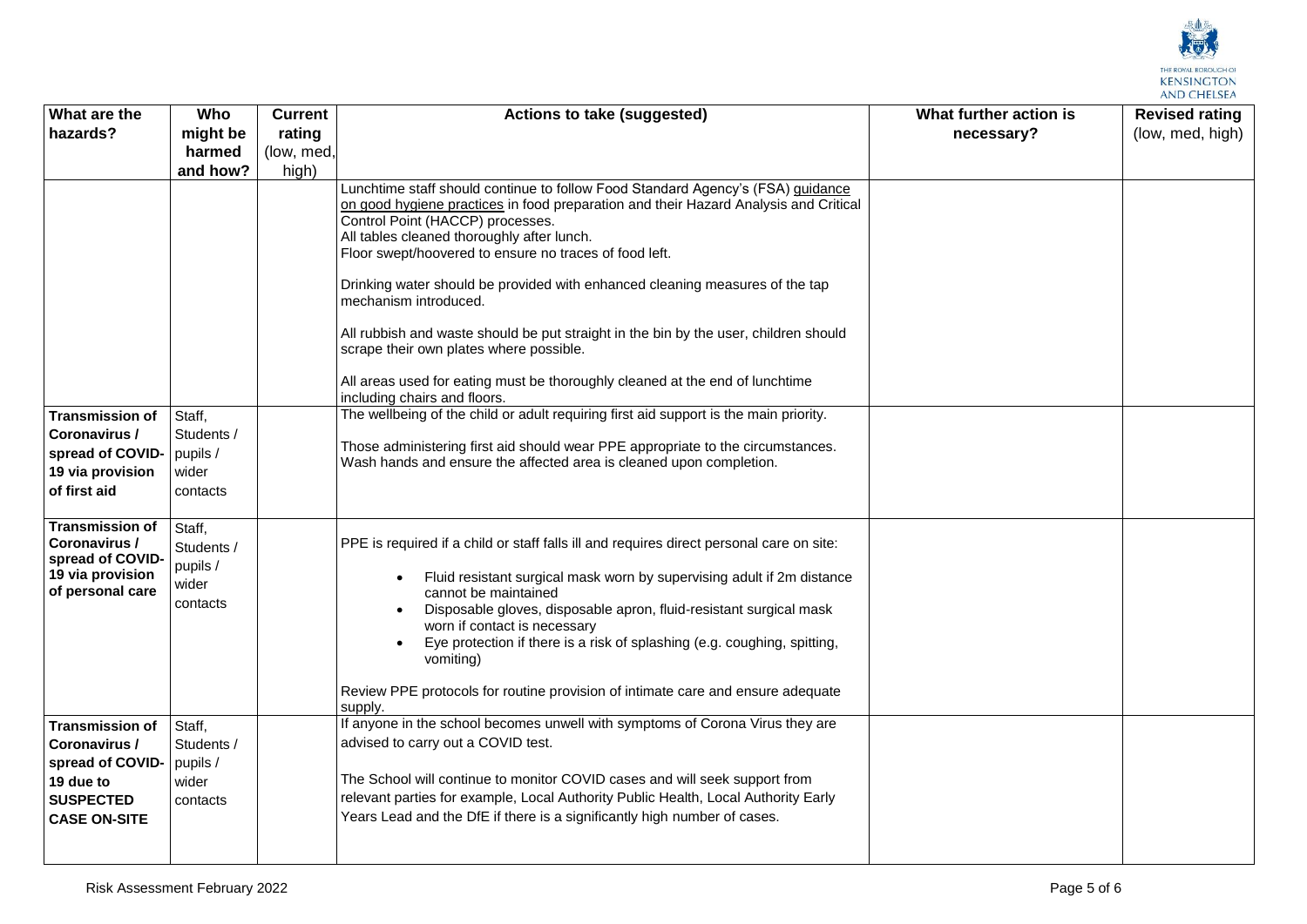

| What are the                            | Who               | <b>Current</b> | Actions to take (suggested)                                                                                                                                             | What further action is | <b>Revised rating</b> |
|-----------------------------------------|-------------------|----------------|-------------------------------------------------------------------------------------------------------------------------------------------------------------------------|------------------------|-----------------------|
| hazards?                                | might be          | rating         |                                                                                                                                                                         | necessary?             | (low, med, high)      |
|                                         | harmed            | (low, med,     |                                                                                                                                                                         |                        |                       |
|                                         | and how?          | high)          |                                                                                                                                                                         |                        |                       |
|                                         |                   |                | Lunchtime staff should continue to follow Food Standard Agency's (FSA) guidance<br>on good hygiene practices in food preparation and their Hazard Analysis and Critical |                        |                       |
|                                         |                   |                | Control Point (HACCP) processes.                                                                                                                                        |                        |                       |
|                                         |                   |                | All tables cleaned thoroughly after lunch.                                                                                                                              |                        |                       |
|                                         |                   |                | Floor swept/hoovered to ensure no traces of food left.                                                                                                                  |                        |                       |
|                                         |                   |                | Drinking water should be provided with enhanced cleaning measures of the tap<br>mechanism introduced.                                                                   |                        |                       |
|                                         |                   |                | All rubbish and waste should be put straight in the bin by the user, children should<br>scrape their own plates where possible.                                         |                        |                       |
|                                         |                   |                | All areas used for eating must be thoroughly cleaned at the end of lunchtime<br>including chairs and floors.                                                            |                        |                       |
| <b>Transmission of</b>                  | Staff,            |                | The wellbeing of the child or adult requiring first aid support is the main priority.                                                                                   |                        |                       |
| Coronavirus /                           | Students /        |                | Those administering first aid should wear PPE appropriate to the circumstances.                                                                                         |                        |                       |
| spread of COVID-                        | pupils /          |                | Wash hands and ensure the affected area is cleaned upon completion.                                                                                                     |                        |                       |
| 19 via provision                        | wider             |                |                                                                                                                                                                         |                        |                       |
| of first aid                            | contacts          |                |                                                                                                                                                                         |                        |                       |
| <b>Transmission of</b>                  | Staff,            |                |                                                                                                                                                                         |                        |                       |
| Coronavirus /<br>spread of COVID-       | Students /        |                | PPE is required if a child or staff falls ill and requires direct personal care on site:                                                                                |                        |                       |
| 19 via provision<br>of personal care    | pupils /<br>wider |                | Fluid resistant surgical mask worn by supervising adult if 2m distance<br>cannot be maintained                                                                          |                        |                       |
|                                         | contacts          |                | Disposable gloves, disposable apron, fluid-resistant surgical mask<br>worn if contact is necessary                                                                      |                        |                       |
|                                         |                   |                | Eye protection if there is a risk of splashing (e.g. coughing, spitting,<br>vomiting)                                                                                   |                        |                       |
|                                         |                   |                | Review PPE protocols for routine provision of intimate care and ensure adequate<br>supply.                                                                              |                        |                       |
| <b>Transmission of</b>                  | Staff,            |                | If anyone in the school becomes unwell with symptoms of Corona Virus they are                                                                                           |                        |                       |
| Coronavirus /                           | Students /        |                | advised to carry out a COVID test.                                                                                                                                      |                        |                       |
| spread of COVID-                        | pupils /          |                |                                                                                                                                                                         |                        |                       |
| 19 due to                               | wider             |                | The School will continue to monitor COVID cases and will seek support from<br>relevant parties for example, Local Authority Public Health, Local Authority Early        |                        |                       |
| <b>SUSPECTED</b><br><b>CASE ON-SITE</b> | contacts          |                | Years Lead and the DfE if there is a significantly high number of cases.                                                                                                |                        |                       |
|                                         |                   |                |                                                                                                                                                                         |                        |                       |